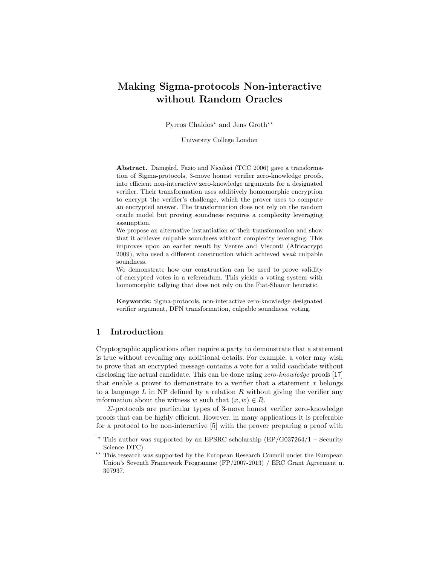# Making Sigma-protocols Non-interactive without Random Oracles

Pyrros Chaidos<sup>\*</sup> and Jens Groth<sup>\*\*</sup>

University College London

Abstract. Damgård, Fazio and Nicolosi (TCC 2006) gave a transformation of Sigma-protocols, 3-move honest verifier zero-knowledge proofs, into efficient non-interactive zero-knowledge arguments for a designated verifier. Their transformation uses additively homomorphic encryption to encrypt the verifier's challenge, which the prover uses to compute an encrypted answer. The transformation does not rely on the random oracle model but proving soundness requires a complexity leveraging assumption.

We propose an alternative instantiation of their transformation and show that it achieves culpable soundness without complexity leveraging. This improves upon an earlier result by Ventre and Visconti (Africacrypt 2009), who used a different construction which achieved weak culpable soundness.

We demonstrate how our construction can be used to prove validity of encrypted votes in a referendum. This yields a voting system with homomorphic tallying that does not rely on the Fiat-Shamir heuristic.

Keywords: Sigma-protocols, non-interactive zero-knowledge designated verifier argument, DFN transformation, culpable soundness, voting.

### 1 Introduction

Cryptographic applications often require a party to demonstrate that a statement is true without revealing any additional details. For example, a voter may wish to prove that an encrypted message contains a vote for a valid candidate without disclosing the actual candidate. This can be done using *zero-knowledge* proofs [17] that enable a prover to demonstrate to a verifier that a statement  $x$  belongs to a language  $L$  in NP defined by a relation  $R$  without giving the verifier any information about the witness w such that  $(x, w) \in R$ .

Σ-protocols are particular types of 3-move honest verifier zero-knowledge proofs that can be highly efficient. However, in many applications it is preferable for a protocol to be non-interactive [5] with the prover preparing a proof with

This author was supported by an EPSRC scholarship  $(EP/G037264/1 -$  Security Science DTC)

<sup>\*\*</sup> This research was supported by the European Research Council under the European Union's Seventh Framework Programme (FP/2007-2013) / ERC Grant Agreement n. 307937.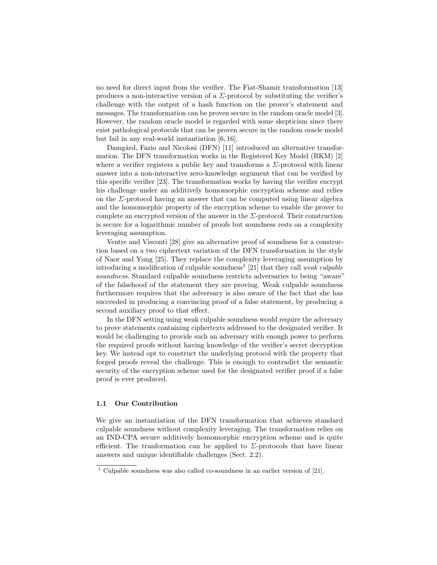no need for direct input from the verifier. The Fiat-Shamir transformation [13] produces a non-interactive version of a  $\Sigma$ -protocol by substituting the verifier's challenge with the output of a hash function on the prover's statement and messages. The transformation can be proven secure in the random oracle model [3]. However, the random oracle model is regarded with some skepticism since there exist pathological protocols that can be proven secure in the random oracle model but fail in any real-world instantiation [6, 16].

Damgård, Fazio and Nicolosi (DFN) [11] introduced an alternative transformation. The DFN transformation works in the Registered Key Model (RKM) [2] where a verifier registers a public key and transforms a  $\Sigma$ -protocol with linear answer into a non-interactive zero-knowledge argument that can be verified by this specific verifier [23]. The transformation works by having the verifier encrypt his challenge under an additively homomorphic encryption scheme and relies on the  $\Sigma$ -protocol having an answer that can be computed using linear algebra and the homomorphic property of the encryption scheme to enable the prover to complete an encrypted version of the answer in the  $\Sigma$ -protocol. Their construction is secure for a logarithmic number of proofs but soundness rests on a complexity leveraging assumption.

Ventre and Visconti [28] give an alternative proof of soundness for a construction based on a two ciphertext variation of the DFN transformation in the style of Naor and Yung [25]. They replace the complexity leveraging assumption by introducing a modification of culpable soundness<sup>1</sup> [21] that they call *weak culpable* soundness. Standard culpable soundness restricts adversaries to being "aware" of the falsehood of the statement they are proving. Weak culpable soundness furthermore requires that the adversary is also aware of the fact that she has succeeded in producing a convincing proof of a false statement, by producing a second auxiliary proof to that effect.

In the DFN setting using weak culpable soundness would require the adversary to prove statements containing ciphertexts addressed to the designated verifier. It would be challenging to provide such an adversary with enough power to perform the required proofs without having knowledge of the verifier's secret decryption key. We instead opt to construct the underlying protocol with the property that forged proofs reveal the challenge. This is enough to contradict the semantic security of the encryption scheme used for the designated verifier proof if a false proof is ever produced.

#### 1.1 Our Contribution

We give an instantiation of the DFN transformation that achieves standard culpable soundness without complexity leveraging. The transformation relies on an IND-CPA secure additively homomorphic encryption scheme and is quite efficient. The tranformation can be applied to  $\Sigma$ -protocols that have linear answers and unique identifiable challenges (Sect. 2.2).

 $1$  Culpable soundness was also called co-soundness in an earlier version of [21].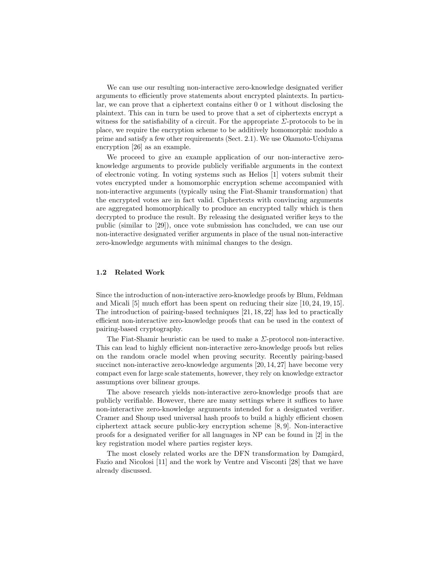We can use our resulting non-interactive zero-knowledge designated verifier arguments to efficiently prove statements about encrypted plaintexts. In particular, we can prove that a ciphertext contains either 0 or 1 without disclosing the plaintext. This can in turn be used to prove that a set of ciphertexts encrypt a witness for the satisfiability of a circuit. For the appropriate  $\Sigma$ -protocols to be in place, we require the encryption scheme to be additively homomorphic modulo a prime and satisfy a few other requirements (Sect. 2.1). We use Okamoto-Uchiyama encryption [26] as an example.

We proceed to give an example application of our non-interactive zeroknowledge arguments to provide publicly verifiable arguments in the context of electronic voting. In voting systems such as Helios [1] voters submit their votes encrypted under a homomorphic encryption scheme accompanied with non-interactive arguments (typically using the Fiat-Shamir transformation) that the encrypted votes are in fact valid. Ciphertexts with convincing arguments are aggregated homomorphically to produce an encrypted tally which is then decrypted to produce the result. By releasing the designated verifier keys to the public (similar to [29]), once vote submission has concluded, we can use our non-interactive designated verifier arguments in place of the usual non-interactive zero-knowledge arguments with minimal changes to the design.

#### 1.2 Related Work

Since the introduction of non-interactive zero-knowledge proofs by Blum, Feldman and Micali [5] much effort has been spent on reducing their size [10, 24, 19, 15]. The introduction of pairing-based techniques [21, 18, 22] has led to practically efficient non-interactive zero-knowledge proofs that can be used in the context of pairing-based cryptography.

The Fiat-Shamir heuristic can be used to make a  $\Sigma$ -protocol non-interactive. This can lead to highly efficient non-interactive zero-knowledge proofs but relies on the random oracle model when proving security. Recently pairing-based succinct non-interactive zero-knowledge arguments [20, 14, 27] have become very compact even for large scale statements, however, they rely on knowledge extractor assumptions over bilinear groups.

The above research yields non-interactive zero-knowledge proofs that are publicly verifiable. However, there are many settings where it suffices to have non-interactive zero-knowledge arguments intended for a designated verifier. Cramer and Shoup used universal hash proofs to build a highly efficient chosen ciphertext attack secure public-key encryption scheme [8, 9]. Non-interactive proofs for a designated verifier for all languages in NP can be found in [2] in the key registration model where parties register keys.

The most closely related works are the DFN transformation by Damgård, Fazio and Nicolosi [11] and the work by Ventre and Visconti [28] that we have already discussed.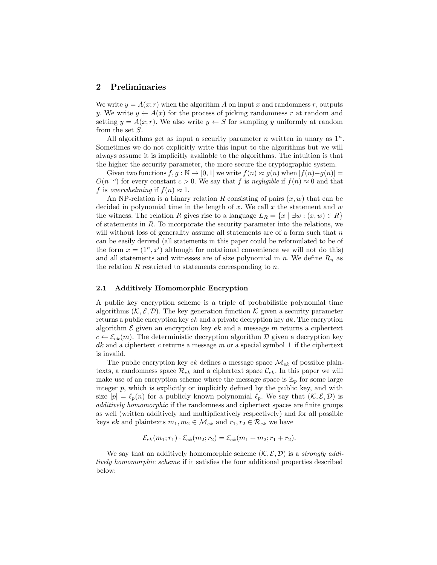#### 2 Preliminaries

We write  $y = A(x; r)$  when the algorithm A on input x and randomness r, outputs y. We write  $y \leftarrow A(x)$  for the process of picking randomness r at random and setting  $y = A(x; r)$ . We also write  $y \leftarrow S$  for sampling y uniformly at random from the set S.

All algorithms get as input a security parameter n written in unary as  $1^n$ . Sometimes we do not explicitly write this input to the algorithms but we will always assume it is implicitly available to the algorithms. The intuition is that the higher the security parameter, the more secure the cryptographic system.

Given two functions  $f, g : \mathbb{N} \to [0, 1]$  we write  $f(n) \approx g(n)$  when  $|f(n)-g(n)| =$  $O(n^{-c})$  for every constant  $c > 0$ . We say that f is negligible if  $f(n) \approx 0$  and that f is overwhelming if  $f(n) \approx 1$ .

An NP-relation is a binary relation R consisting of pairs  $(x, w)$  that can be decided in polynomial time in the length of  $x$ . We call  $x$  the statement and  $w$ the witness. The relation R gives rise to a language  $L_R = \{x \mid \exists w : (x, w) \in R\}$ of statements in  $R$ . To incorporate the security parameter into the relations, we will without loss of generality assume all statements are of a form such that  $n$ can be easily derived (all statements in this paper could be reformulated to be of the form  $x = (1^n, x')$  although for notational convenience we will not do this) and all statements and witnesses are of size polynomial in  $n$ . We define  $R_n$  as the relation  $R$  restricted to statements corresponding to  $n$ .

#### 2.1 Additively Homomorphic Encryption

A public key encryption scheme is a triple of probabilistic polynomial time algorithms  $(K, \mathcal{E}, \mathcal{D})$ . The key generation function K given a security parameter returns a public encryption key  $ek$  and a private decryption key  $dk$ . The encryption algorithm  $\mathcal E$  given an encryption key  $ek$  and a message m returns a ciphertext  $c \leftarrow \mathcal{E}_{ek}(m)$ . The deterministic decryption algorithm  $\mathcal{D}$  given a decryption key dk and a ciphertext c returns a message m or a special symbol  $\perp$  if the ciphertext is invalid.

The public encryption key  $ek$  defines a message space  $\mathcal{M}_{ek}$  of possible plaintexts, a randomness space  $\mathcal{R}_{ek}$  and a ciphertext space  $\mathcal{C}_{ek}$ . In this paper we will make use of an encryption scheme where the message space is  $\mathbb{Z}_p$  for some large integer  $p$ , which is explicitly or implicitly defined by the public key, and with size  $|p| = \ell_p(n)$  for a publicly known polynomial  $\ell_p$ . We say that  $(K, \mathcal{E}, \mathcal{D})$  is additively homomorphic if the randomness and ciphertext spaces are finite groups as well (written additively and multiplicatively respectively) and for all possible keys ek and plaintexts  $m_1, m_2 \in \mathcal{M}_{ek}$  and  $r_1, r_2 \in \mathcal{R}_{ek}$  we have

$$
\mathcal{E}_{ek}(m_1; r_1) \cdot \mathcal{E}_{ek}(m_2; r_2) = \mathcal{E}_{ek}(m_1 + m_2; r_1 + r_2).
$$

We say that an additively homomorphic scheme  $(\mathcal{K}, \mathcal{E}, \mathcal{D})$  is a *strongly addi*tively homomorphic scheme if it satisfies the four additional properties described below: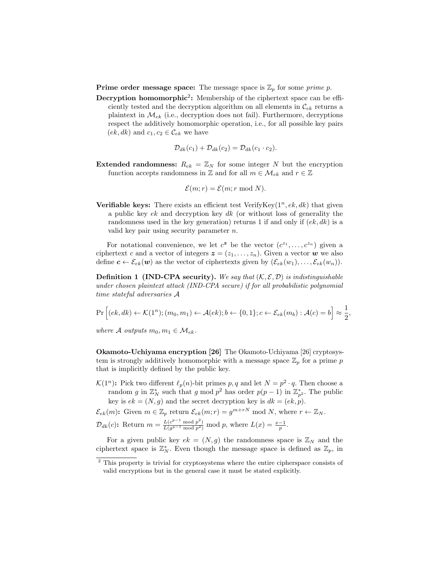**Prime order message space:** The message space is  $\mathbb{Z}_p$  for some *prime* p.

Decryption homomorphic<sup>2</sup>: Membership of the ciphertext space can be efficiently tested and the decryption algorithm on all elements in  $\mathcal{C}_{ek}$  returns a plaintext in  $\mathcal{M}_{ek}$  (i.e., decryption does not fail). Furthermore, decryptions respect the additively homomorphic operation, i.e., for all possible key pairs  $(ek, dk)$  and  $c_1, c_2 \in \mathcal{C}_{ek}$  we have

$$
\mathcal{D}_{dk}(c_1) + \mathcal{D}_{dk}(c_2) = \mathcal{D}_{dk}(c_1 \cdot c_2).
$$

**Extended randomness:**  $R_{ek} = \mathbb{Z}_N$  for some integer N but the encryption function accepts randomness in Z and for all  $m \in \mathcal{M}_{ek}$  and  $r \in \mathbb{Z}$ 

$$
\mathcal{E}(m;r) = \mathcal{E}(m;r \bmod N).
$$

**Verifiable keys:** There exists an efficient test  $VerifyKey(1^n, ek, dk)$  that given a public key  $ek$  and decryption key  $dk$  (or without loss of generality the randomness used in the key generation) returns 1 if and only if  $(ek, dk)$  is a valid key pair using security parameter  $n$ .

For notational convenience, we let  $c^z$  be the vector  $(c^{z_1}, \ldots, c^{z_n})$  given a ciphertext c and a vector of integers  $\boldsymbol{z} = (z_1, \ldots, z_n)$ . Given a vector w we also define  $c \leftarrow \mathcal{E}_{ek}(\boldsymbol{w})$  as the vector of ciphertexts given by  $(\mathcal{E}_{ek}(w_1), \ldots, \mathcal{E}_{ek}(w_n)).$ 

**Definition 1 (IND-CPA security).** We say that  $(K, \mathcal{E}, \mathcal{D})$  is indistinguishable under chosen plaintext attack (IND-CPA secure) if for all probabilistic polynomial time stateful adversaries A

$$
\Pr\Big[(ek,dk) \leftarrow \mathcal{K}(1^n); (m_0, m_1) \leftarrow \mathcal{A}(ek); b \leftarrow \{0,1\}; c \leftarrow \mathcal{E}_{ek}(m_b): \mathcal{A}(c) = b\Big] \approx \frac{1}{2},
$$

where A outputs  $m_0, m_1 \in \mathcal{M}_{ek}$ .

Okamoto-Uchiyama encryption [26] The Okamoto-Uchiyama [26] cryptosystem is strongly additively homomorphic with a message space  $\mathbb{Z}_p$  for a prime p that is implicitly defined by the public key.

 $\mathcal{K}(1^n)$ : Pick two different  $\ell_p(n)$ -bit primes p, q and let  $N = p^2 \cdot q$ . Then choose a random g in  $\mathbb{Z}_N^*$  such that g mod  $p^2$  has order  $p(p-1)$  in  $\mathbb{Z}_{p^2}^*$ . The public key is  $ek = (N, g)$  and the secret decryption key is  $dk = (ek, p)$ .

 $\mathcal{E}_{ek}(m)$ : Given  $m \in \mathbb{Z}_p$  return  $\mathcal{E}_{ek}(m;r) = g^{m+rN} \mod N$ , where  $r \leftarrow \mathbb{Z}_N$ .  $\mathcal{D}_{dk}(c)$ : Return  $m = \frac{L(c^{p-1} \mod p^2)}{L(a^{p-1} \mod p^2)}$  $\frac{L(c^{p-1} \mod p^2)}{L(g^{p-1} \mod p^2)} \mod p$ , where  $L(x) = \frac{x-1}{p}$ .

For a given public key  $ek = (N, g)$  the randomness space is  $\mathbb{Z}_N$  and the ciphertext space is  $\mathbb{Z}_N^*$ . Even though the message space is defined as  $\mathbb{Z}_p$ , in

<sup>2</sup> This property is trivial for cryptosystems where the entire cipherspace consists of valid encryptions but in the general case it must be stated explicitly.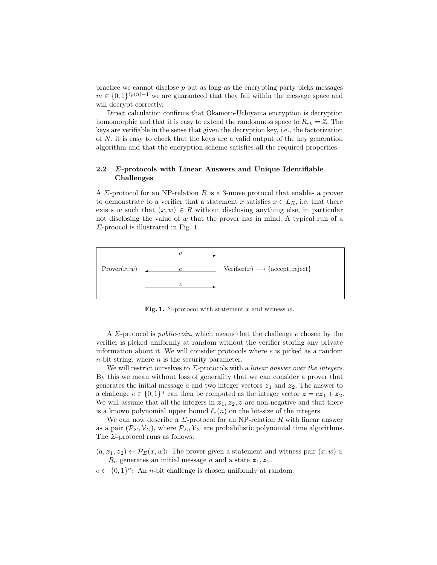practice we cannot disclose  $p$  but as long as the encrypting party picks messages  $m \in \{0,1\}^{\ell_p(n)-1}$  we are guaranteed that they fall within the message space and will decrypt correctly.

Direct calculation confirms that Okamoto-Uchiyama encryption is decryption homomorphic and that it is easy to extend the randomness space to  $R_{ek} = \mathbb{Z}$ . The keys are verifiable in the sense that given the decryption key, i.e., the factorization of  $N$ , it is easy to check that the keys are a valid output of the key generation algorithm and that the encryption scheme satisfies all the required properties.

### 2.2  $\Sigma$ -protocols with Linear Answers and Unique Identifiable Challenges

A  $\Sigma$ -protocol for an NP-relation R is a 3-move protocol that enables a prover to demonstrate to a verifier that a statement x satisfies  $x \in L_R$ , i.e. that there exists w such that  $(x, w) \in R$  without disclosing anything else, in particular not disclosing the value of w that the prover has in mind. A typical run of a  $\Sigma$ -proocol is illustrated in Fig. 1.



Fig. 1.  $\Sigma$ -protocol with statement x and witness w.

A  $\Sigma$ -protocol is *public-coin*, which means that the challenge e chosen by the verifier is picked uniformly at random without the verifier storing any private information about it. We will consider protocols where  $e$  is picked as a random  $n$ -bit string, where  $n$  is the security parameter.

We will restrict ourselves to  $\Sigma$ -protocols with a *linear answer over the integers*. By this we mean without loss of generality that we can consider a prover that generates the initial message a and two integer vectors  $z_1$  and  $z_2$ . The answer to a challenge  $e \in \{0,1\}^n$  can then be computed as the integer vector  $z = e z_1 + z_2$ . We will assume that all the integers in  $z_1, z_2, z$  are non-negative and that there is a known polynomial upper bound  $\ell_z(n)$  on the bit-size of the integers.

We can now describe a  $\Sigma$ -protocol for an NP-relation R with linear answer as a pair  $(\mathcal{P}_{\Sigma}, \mathcal{V}_{\Sigma})$ , where  $\mathcal{P}_{\Sigma}, \mathcal{V}_{\Sigma}$  are probabilistic polynomial time algorithms. The  $\Sigma$ -protocol runs as follows:

 $(a, z_1, z_2) \leftarrow \mathcal{P}_{\Sigma}(x, w)$ : The prover given a statement and witness pair  $(x, w) \in$  $R_n$  generates an initial message a and a state  $z_1, z_2$ .

 $e \leftarrow \{0,1\}^n$ : An *n*-bit challenge is chosen uniformly at random.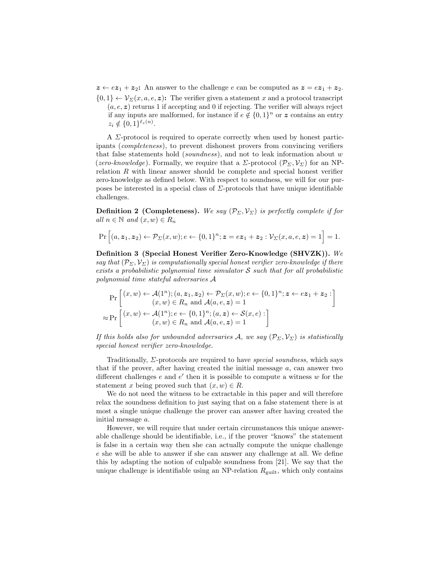$z \leftarrow e\mathbf{z}_1 + \mathbf{z}_2$ : An answer to the challenge e can be computed as  $z = e\mathbf{z}_1 + \mathbf{z}_2$ .  ${0, 1} \leftarrow \mathcal{V}_{\Sigma}(x, a, e, z)$ : The verifier given a statement x and a protocol transcript  $(a, e, z)$  returns 1 if accepting and 0 if rejecting. The verifier will always reject if any inputs are malformed, for instance if  $e \notin \{0,1\}^n$  or z contains an entry  $z_i \notin \{0,1\}^{\ell_z(n)}$ .

A Σ-protocol is required to operate correctly when used by honest participants (completeness), to prevent dishonest provers from convincing verifiers that false statements hold (soundness), and not to leak information about  $w$ (zero-knowledge). Formally, we require that a  $\Sigma$ -protocol  $(\mathcal{P}_{\Sigma}, \mathcal{V}_{\Sigma})$  for an NPrelation  $R$  with linear answer should be complete and special honest verifier zero-knowledge as defined below. With respect to soundness, we will for our purposes be interested in a special class of  $\Sigma$ -protocols that have unique identifiable challenges.

**Definition 2 (Completeness).** We say  $(\mathcal{P}_{\Sigma}, \mathcal{V}_{\Sigma})$  is perfectly complete if for all  $n \in \mathbb{N}$  and  $(x, w) \in R_n$ 

$$
\Pr\Big[(a,\boldsymbol{z}_1,\boldsymbol{z}_2)\leftarrow \mathcal{P}_\Sigma(x,w);e\leftarrow\{0,1\}^n;\boldsymbol{z}=ez_1+\boldsymbol{z}_2:\mathcal{V}_\Sigma(x,a,e,\boldsymbol{z})=1\Big]=1.
$$

Definition 3 (Special Honest Verifier Zero-Knowledge (SHVZK)). We say that  $(\mathcal{P}_{\Sigma}, \mathcal{V}_{\Sigma})$  is computationally special honest verifier zero-knowledge if there exists a probabilistic polynomial time simulator  $S$  such that for all probabilistic polynomial time stateful adversaries A

$$
\Pr\left[\begin{matrix} (x,w) \leftarrow \mathcal{A}(1^n); (a, \mathbf{z}_1, \mathbf{z}_2) \leftarrow \mathcal{P}_{\Sigma}(x,w); e \leftarrow \{0,1\}^n; \mathbf{z} \leftarrow e\mathbf{z}_1 + \mathbf{z}_2: \\ (x,w) \in R_n \text{ and } \mathcal{A}(a,e,\mathbf{z}) = 1 \end{matrix}\right] \right] \approx \Pr\left[\begin{matrix} (x,w) \leftarrow \mathcal{A}(1^n); e \leftarrow \{0,1\}^n; (a,\mathbf{z}) \leftarrow \mathcal{S}(x,e): \\ (x,w) \in R_n \text{ and } \mathcal{A}(a,e,\mathbf{z}) = 1 \end{matrix}\right]\right]
$$

If this holds also for unbounded adversaries A, we say  $(\mathcal{P}_{\Sigma}, \mathcal{V}_{\Sigma})$  is statistically special honest verifier zero-knowledge.

Traditionally,  $\Sigma$ -protocols are required to have *special soundness*, which says that if the prover, after having created the initial message  $a$ , can answer two different challenges  $e$  and  $e'$  then it is possible to compute a witness  $w$  for the statement x being proved such that  $(x, w) \in R$ .

We do not need the witness to be extractable in this paper and will therefore relax the soundness definition to just saying that on a false statement there is at most a single unique challenge the prover can answer after having created the initial message a.

However, we will require that under certain circumstances this unique answerable challenge should be identifiable, i.e., if the prover "knows" the statement is false in a certain way then she can actually compute the unique challenge e she will be able to answer if she can answer any challenge at all. We define this by adapting the notion of culpable soundness from [21]. We say that the unique challenge is identifiable using an NP-relation  $R_{\text{gulit}}$ , which only contains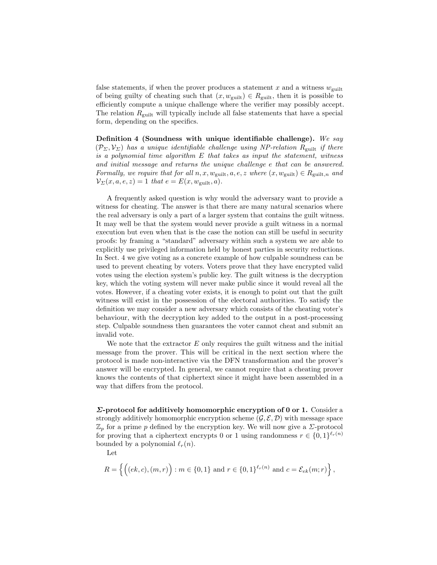false statements, if when the prover produces a statement x and a witness  $w_{\text{gunit}}$ of being guilty of cheating such that  $(x, w_{\text{guilt}}) \in R_{\text{guilt}}$ , then it is possible to efficiently compute a unique challenge where the verifier may possibly accept. The relation  $R_{\text{guilt}}$  will typically include all false statements that have a special form, depending on the specifics.

Definition 4 (Soundness with unique identifiable challenge). We say  $(\mathcal{P}_{\Sigma}, \mathcal{V}_{\Sigma})$  has a unique identifiable challenge using NP-relation  $R_{\text{guilt}}$  if there is a polynomial time algorithm E that takes as input the statement, witness and initial message and returns the unique challenge e that can be answered. Formally, we require that for all  $n, x, w_{\text{guilt}}, a, e, z$  where  $(x, w_{\text{guilt}}) \in R_{\text{guilt},n}$  and  $\mathcal{V}_{\Sigma}(x, a, e, z) = 1$  that  $e = E(x, w_{\text{suit}}, a)$ .

A frequently asked question is why would the adversary want to provide a witness for cheating. The answer is that there are many natural scenarios where the real adversary is only a part of a larger system that contains the guilt witness. It may well be that the system would never provide a guilt witness in a normal execution but even when that is the case the notion can still be useful in security proofs: by framing a "standard" adversary within such a system we are able to explicitly use privileged information held by honest parties in security reductions. In Sect. 4 we give voting as a concrete example of how culpable soundness can be used to prevent cheating by voters. Voters prove that they have encrypted valid votes using the election system's public key. The guilt witness is the decryption key, which the voting system will never make public since it would reveal all the votes. However, if a cheating voter exists, it is enough to point out that the guilt witness will exist in the possession of the electoral authorities. To satisfy the definition we may consider a new adversary which consists of the cheating voter's behaviour, with the decryption key added to the output in a post-processing step. Culpable soundness then guarantees the voter cannot cheat and submit an invalid vote.

We note that the extractor  $E$  only requires the guilt witness and the initial message from the prover. This will be critical in the next section where the protocol is made non-interactive via the DFN transformation and the prover's answer will be encrypted. In general, we cannot require that a cheating prover knows the contents of that ciphertext since it might have been assembled in a way that differs from the protocol.

 $\Sigma$ -protocol for additively homomorphic encryption of 0 or 1. Consider a strongly additively homomorphic encryption scheme  $(\mathcal{G}, \mathcal{E}, \mathcal{D})$  with message space  $\mathbb{Z}_p$  for a prime p defined by the encryption key. We will now give a  $\Sigma$ -protocol for proving that a ciphertext encrypts 0 or 1 using randomness  $r \in \{0,1\}^{\ell_r(n)}$ bounded by a polynomial  $\ell_r(n)$ .

Let

$$
R = \left\{ \left( (ek, c), (m, r) \right) : m \in \{0, 1\} \text{ and } r \in \{0, 1\}^{\ell_r(n)} \text{ and } c = \mathcal{E}_{ek}(m; r) \right\},\
$$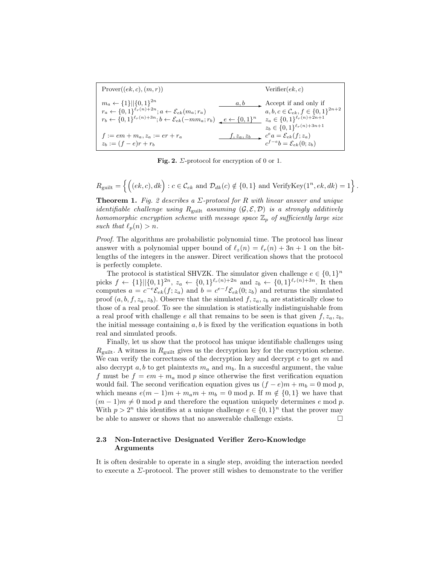| Prover((ek, c), (m, r))                                                                                                                                                                                                                                                              | Verifier $(ek, c)$                                                                                                 |
|--------------------------------------------------------------------------------------------------------------------------------------------------------------------------------------------------------------------------------------------------------------------------------------|--------------------------------------------------------------------------------------------------------------------|
| $m_a \leftarrow \{1\} \mid \mid \{0,1\}^{2n}$<br>$r_a \leftarrow \{0,1\}^{\ell_r(n)+2n}; a \leftarrow \mathcal{E}_{ek}(m_a; r_a)$<br>$r_b \leftarrow \{0,1\}^{\ell_r(n)+3n}; b \leftarrow \mathcal{E}_{ek}(-m m_a; r_b)$ $e \leftarrow \{0,1\}^n$ $z_a \in \{0,1\}^{\ell_r(n)+2n+1}$ | Accept if and only if<br>a, b<br>$a, b, c \in C_{ek}, f \in \{0, 1\}^{2n+2}$<br>$z_b \in \{0,1\}^{\ell_r(n)+3n+1}$ |
| $f := em + m_a, z_a := er + r_a$<br>$z_b := (f - e)r + r_b$                                                                                                                                                                                                                          | $f, z_a, z_b$ $c^e a = \mathcal{E}_{ek}(f; z_a)$<br>$c^{f-e}b = \mathcal{E}_{ek}(0; z_b)$                          |

Fig. 2.  $\Sigma$ -protocol for encryption of 0 or 1.

 $R_{\text{guilt}} = \left\{ \left( (ek, c), dk \right) : c \in \mathcal{C}_{ek} \text{ and } \mathcal{D}_{dk}(c) \notin \{0, 1\} \text{ and VerifyKey}(1^n, ek, dk) = 1 \right\}.$ 

**Theorem 1.** Fig. 2 describes a  $\Sigma$ -protocol for R with linear answer and unique *identifiable challenge using*  $R_{\text{guilt}}$  assuming  $(\mathcal{G}, \mathcal{E}, \mathcal{D})$  is a strongly additively homomorphic encryption scheme with message space  $\mathbb{Z}_p$  of sufficiently large size such that  $\ell_n(n) > n$ .

Proof. The algorithms are probabilistic polynomial time. The protocol has linear answer with a polynomial upper bound of  $\ell_z(n) = \ell_r(n) + 3n + 1$  on the bitlengths of the integers in the answer. Direct verification shows that the protocol is perfectly complete.

The protocol is statistical SHVZK. The simulator given challenge  $e \in \{0,1\}^n$ picks  $f \leftarrow \{1\} \mid \mid \{0,1\}^{2n}, z_a \leftarrow \{0,1\}^{\ell_r(n)+2n}$  and  $z_b \leftarrow \{0,1\}^{\ell_r(n)+3n}$ . It then computes  $a = c^{-e} \mathcal{E}_{ek}(f; z_a)$  and  $b = c^{e-f} \mathcal{E}_{ek}(0; z_b)$  and returns the simulated proof  $(a, b, f, z_a, z_b)$ . Observe that the simulated  $f, z_a, z_b$  are statistically close to those of a real proof. To see the simulation is statistically indistinguishable from a real proof with challenge e all that remains to be seen is that given  $f, z_a, z_b$ , the initial message containing  $a, b$  is fixed by the verification equations in both real and simulated proofs.

Finally, let us show that the protocol has unique identifiable challenges using  $R_{\text{guilt}}$ . A witness in  $R_{\text{guilt}}$  gives us the decryption key for the encryption scheme. We can verify the correctness of the decryption key and decrypt  $c$  to get  $m$  and also decrypt a, b to get plaintexts  $m_a$  and  $m_b$ . In a succesful argument, the value f must be  $f = em + m_a \mod p$  since otherwise the first verification equation would fail. The second verification equation gives us  $(f - e)m + m_b = 0 \text{ mod } p$ , which means  $e(m-1)m + m_a m + m_b = 0 \text{ mod } p$ . If  $m \notin \{0, 1\}$  we have that  $(m-1)m \neq 0 \mod p$  and therefore the equation uniquely determines e mod p. With  $p > 2^n$  this identifies at a unique challenge  $e \in \{0,1\}^n$  that the prover may be able to answer or shows that no answerable challenge exists.

### 2.3 Non-Interactive Designated Verifier Zero-Knowledge Arguments

It is often desirable to operate in a single step, avoiding the interaction needed to execute a Σ-protocol. The prover still wishes to demonstrate to the verifier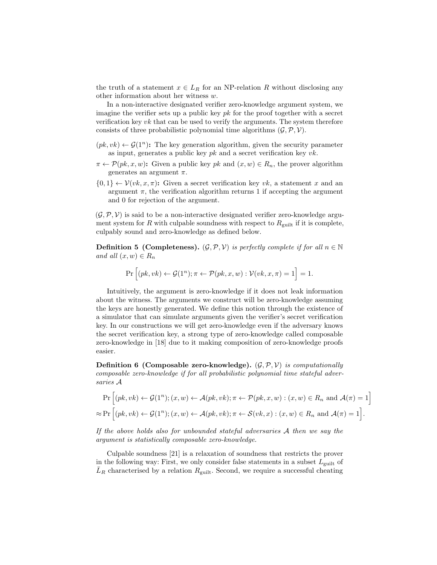the truth of a statement  $x \in L_R$  for an NP-relation R without disclosing any other information about her witness w.

In a non-interactive designated verifier zero-knowledge argument system, we imagine the verifier sets up a public key  $pk$  for the proof together with a secret verification key  $vk$  that can be used to verify the arguments. The system therefore consists of three probabilistic polynomial time algorithms  $(\mathcal{G}, \mathcal{P}, \mathcal{V})$ .

- $(pk, vk) \leftarrow \mathcal{G}(1^n)$ : The key generation algorithm, given the security parameter as input, generates a public key  $pk$  and a secret verification key  $vk$ .
- $\pi \leftarrow \mathcal{P}(pk, x, w)$ : Given a public key pk and  $(x, w) \in R_n$ , the prover algorithm generates an argument  $\pi$ .
- $\{0,1\} \leftarrow \mathcal{V}(vk, x, \pi)$ : Given a secret verification key vk, a statement x and an argument  $\pi$ , the verification algorithm returns 1 if accepting the argument and 0 for rejection of the argument.

 $(\mathcal{G}, \mathcal{P}, \mathcal{V})$  is said to be a non-interactive designated verifier zero-knowledge argument system for R with culpable soundness with respect to  $R_{\text{guilt}}$  if it is complete, culpably sound and zero-knowledge as defined below.

**Definition 5 (Completeness).**  $(\mathcal{G}, \mathcal{P}, \mathcal{V})$  is perfectly complete if for all  $n \in \mathbb{N}$ and all  $(x, w) \in R_n$ 

$$
\Pr\left[(pk, vk) \leftarrow \mathcal{G}(1^n); \pi \leftarrow \mathcal{P}(pk, x, w) : \mathcal{V}(vk, x, \pi) = 1\right] = 1.
$$

Intuitively, the argument is zero-knowledge if it does not leak information about the witness. The arguments we construct will be zero-knowledge assuming the keys are honestly generated. We define this notion through the existence of a simulator that can simulate arguments given the verifier's secret verification key. In our constructions we will get zero-knowledge even if the adversary knows the secret verification key, a strong type of zero-knowledge called composable zero-knowledge in [18] due to it making composition of zero-knowledge proofs easier.

**Definition 6 (Composable zero-knowledge).**  $(\mathcal{G}, \mathcal{P}, \mathcal{V})$  is computationally composable zero-knowledge if for all probabilistic polynomial time stateful adversaries A

$$
\Pr\Big[(pk, vk) \leftarrow \mathcal{G}(1^n); (x,w) \leftarrow \mathcal{A}(pk, vk); \pi \leftarrow \mathcal{P}(pk, x, w) : (x, w) \in R_n \text{ and } \mathcal{A}(\pi) = 1\Big]
$$
  

$$
\approx \Pr\Big[(pk, vk) \leftarrow \mathcal{G}(1^n); (x, w) \leftarrow \mathcal{A}(pk, vk); \pi \leftarrow \mathcal{S}(vk, x) : (x, w) \in R_n \text{ and } \mathcal{A}(\pi) = 1\Big].
$$

If the above holds also for unbounded stateful adversaries A then we say the argument is statistically composable zero-knowledge.

Culpable soundness [21] is a relaxation of soundness that restricts the prover in the following way: First, we only consider false statements in a subset  $L_{\text{gulit}}$  of  $\bar{L}_R$  characterised by a relation  $R_{\text{guilt}}$ . Second, we require a successful cheating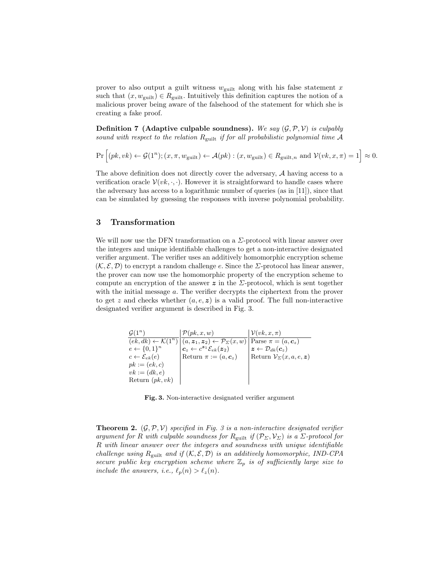prover to also output a guilt witness  $w_{\text{guilt}}$  along with his false statement x such that  $(x, w_{\text{guilt}}) \in R_{\text{guilt}}$ . Intuitively this definition captures the notion of a malicious prover being aware of the falsehood of the statement for which she is creating a fake proof.

**Definition 7** (Adaptive culpable soundness). We say  $(\mathcal{G}, \mathcal{P}, \mathcal{V})$  is culpably sound with respect to the relation  $R_{\text{guilt}}$  if for all probabilistic polynomial time A

$$
\Pr\Big[(pk, vk) \leftarrow \mathcal{G}(1^n); (x, \pi, w_{\text{guilt}}) \leftarrow \mathcal{A}(pk) : (x, w_{\text{guilt}}) \in R_{\text{guilt},n} \text{ and } \mathcal{V}(vk, x, \pi) = 1\Big] \approx 0.
$$

The above definition does not directly cover the adversary, A having access to a verification oracle  $V(vk, \cdot, \cdot)$ . However it is straightforward to handle cases where the adversary has access to a logarithmic number of queries (as in [11]), since that can be simulated by guessing the responses with inverse polynomial probability.

### 3 Transformation

We will now use the DFN transformation on a  $\Sigma$ -protocol with linear answer over the integers and unique identifiable challenges to get a non-interactive designated verifier argument. The verifier uses an additively homomorphic encryption scheme  $(\mathcal{K}, \mathcal{E}, \mathcal{D})$  to encrypt a random challenge e. Since the  $\Sigma$ -protocol has linear answer, the prover can now use the homomorphic property of the encryption scheme to compute an encryption of the answer  $z$  in the  $\Sigma$ -protocol, which is sent together with the initial message a. The verifier decrypts the ciphertext from the prover to get z and checks whether  $(a, e, z)$  is a valid proof. The full non-interactive designated verifier argument is described in Fig. 3.

| $G(1^n)$                           | $\mathcal{P}(pk, x, w)$                                                                                               | $\mathcal{V}(vk, x, \pi)$                                      |
|------------------------------------|-----------------------------------------------------------------------------------------------------------------------|----------------------------------------------------------------|
|                                    | $(ek, dk) \leftarrow \mathcal{K}(1^n)   (a, z_1, z_2) \leftarrow \mathcal{P}_{\Sigma}(x, w)  $ Parse $\pi = (a, c_z)$ |                                                                |
| $e \leftarrow \{0,1\}^n$           | $c_z \leftarrow c^{z_1} \mathcal{E}_{ek}(z_2)$                                                                        | $\boldsymbol{z} \leftarrow \mathcal{D}_{dk}(\boldsymbol{c}_z)$ |
| $c \leftarrow \mathcal{E}_{ek}(e)$ | Return $\pi := (a, \mathbf{c}_z)$                                                                                     | Return $\mathcal{V}_{\Sigma}(x, a, e, z)$                      |
| $pk := (ek, c)$                    |                                                                                                                       |                                                                |
| $vk := (dk, e)$                    |                                                                                                                       |                                                                |
| Return $(pk, vk)$                  |                                                                                                                       |                                                                |

Fig. 3. Non-interactive designated verifier argument

**Theorem 2.**  $(\mathcal{G}, \mathcal{P}, \mathcal{V})$  specified in Fig. 3 is a non-interactive designated verifier argument for R with culpable soundness for  $R_{\text{guilt}}$  if  $(\mathcal{P}_{\Sigma}, \mathcal{V}_{\Sigma})$  is a  $\Sigma$ -protocol for R with linear answer over the integers and soundness with unique identifiable challenge using  $R_{\text{guilt}}$  and if  $(\mathcal{K}, \mathcal{E}, \mathcal{D})$  is an additively homomorphic, IND-CPA secure public key encryption scheme where  $\mathbb{Z}_p$  is of sufficiently large size to include the answers, i.e.,  $\ell_p(n) > \ell_z(n)$ .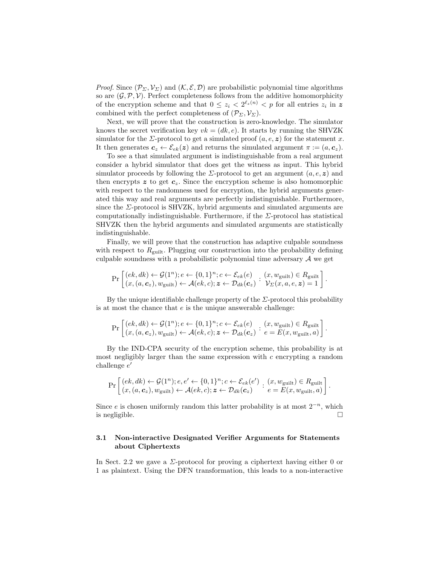*Proof.* Since  $(\mathcal{P}_{\Sigma}, \mathcal{V}_{\Sigma})$  and  $(\mathcal{K}, \mathcal{E}, \mathcal{D})$  are probabilistic polynomial time algorithms so are  $(\mathcal{G}, \mathcal{P}, \mathcal{V})$ . Perfect completeness follows from the additive homomorphicity of the encryption scheme and that  $0 \leq z_i < 2^{\ell_z(n)} < p$  for all entries  $z_i$  in z combined with the perfect completeness of  $(\mathcal{P}_{\Sigma}, \mathcal{V}_{\Sigma})$ .

Next, we will prove that the construction is zero-knowledge. The simulator knows the secret verification key  $vk = (dk, e)$ . It starts by running the SHVZK simulator for the  $\Sigma$ -protocol to get a simulated proof  $(a, e, z)$  for the statement x. It then generates  $c_z \leftarrow \mathcal{E}_{ek}(z)$  and returns the simulated argument  $\pi := (a, c_z)$ .

To see a that simulated argument is indistinguishable from a real argument consider a hybrid simulator that does get the witness as input. This hybrid simulator proceeds by following the  $\Sigma$ -protocol to get an argument  $(a, e, z)$  and then encrypts  $z$  to get  $c_z$ . Since the encryption scheme is also homomorphic with respect to the randomness used for encryption, the hybrid arguments generated this way and real arguments are perfectly indistinguishable. Furthermore, since the  $\Sigma$ -protocol is SHVZK, hybrid arguments and simulated arguments are computationally indistinguishable. Furthermore, if the  $\Sigma$ -protocol has statistical SHVZK then the hybrid arguments and simulated arguments are statistically indistinguishable.

Finally, we will prove that the construction has adaptive culpable soundness with respect to  $R_{\text{guilt}}$ . Plugging our construction into the probability defining culpable soundness with a probabilistic polynomial time adversary  $A$  we get

$$
\Pr\left[\begin{matrix} (ek,dk) \leftarrow \mathcal{G}(1^n); e \leftarrow \{0,1\}^n; c \leftarrow \mathcal{E}_{ek}(e) \\ (x,(a,\mathbf{c}_z),w_{\text{guilt}}) \leftarrow \mathcal{A}(ek,c); \mathbf{z} \leftarrow \mathcal{D}_{dk}(\mathbf{c}_z) \end{matrix} : \begin{matrix} (x,w_{\text{guilt}}) \in R_{\text{guilt}} \\ \mathcal{V}_{\Sigma}(x,a,e,\mathbf{z}) = 1 \end{matrix}\right] \right]
$$

.

By the unique identifiable challenge property of the  $\Sigma$ -protocol this probability is at most the chance that  $e$  is the unique answerable challenge:

$$
\Pr\left[\begin{matrix}(ek,dk) \leftarrow \mathcal{G}(1^n); e \leftarrow \{0,1\}^n; c \leftarrow \mathcal{E}_{ek}(e) \\ (x,(a,\mathbf{c}_z),w_{\text{guilt}}) \leftarrow \mathcal{A}(ek,c); \mathbf{z} \leftarrow \mathcal{D}_{dk}(\mathbf{c}_z) \end{matrix}:\begin{matrix}(x,w_{\text{guilt}}) \in R_{\text{guilt}} \\ e = E(x,w_{\text{guilt}},a)\end{matrix}\right]\right].
$$

By the IND-CPA security of the encryption scheme, this probability is at most negligibly larger than the same expression with  $c$  encrypting a random challenge  $e'$ 

$$
\Pr\left[\begin{matrix}(ek,dk) \leftarrow \mathcal{G}(1^n); e, e' \leftarrow \{0,1\}^n; c \leftarrow \mathcal{E}_{ek}(e') \\ (x, (a, \mathbf{c}_z), w_{\text{guilt}}) \leftarrow \mathcal{A}(ek, c); \mathbf{z} \leftarrow \mathcal{D}_{dk}(\mathbf{c}_z) \end{matrix}\right] : \begin{matrix}(x, w_{\text{guilt}}) \in R_{\text{guilt}} \\ e = E(x, w_{\text{guilt}}, a)\end{matrix}\right].
$$

Since e is chosen uniformly random this latter probability is at most  $2^{-n}$ , which is negligible.  $\Box$ 

#### 3.1 Non-interactive Designated Verifier Arguments for Statements about Ciphertexts

In Sect. 2.2 we gave a  $\Sigma$ -protocol for proving a ciphertext having either 0 or 1 as plaintext. Using the DFN transformation, this leads to a non-interactive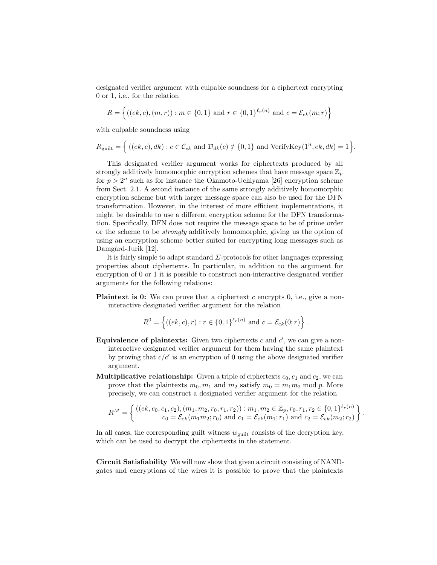designated verifier argument with culpable soundness for a ciphertext encrypting 0 or 1, i.e., for the relation

$$
R = \left\{ ((ek, c), (m, r)) : m \in \{0, 1\} \text{ and } r \in \{0, 1\}^{\ell_r(n)} \text{ and } c = \mathcal{E}_{ek}(m; r) \right\}
$$

with culpable soundness using

$$
R_{\text{guilt}} = \left\{ \left( (ek, c), dk \right) : c \in \mathcal{C}_{ek} \text{ and } \mathcal{D}_{dk}(c) \notin \{0, 1\} \text{ and VerifyKey}(1^n, ek, dk) = 1 \right\}.
$$

This designated verifier argument works for ciphertexts produced by all strongly additively homomorphic encryption schemes that have message space  $\mathbb{Z}_p$ for  $p > 2<sup>n</sup>$  such as for instance the Okamoto-Uchiyama [26] encryption scheme from Sect. 2.1. A second instance of the same strongly additively homomorphic encryption scheme but with larger message space can also be used for the DFN transformation. However, in the interest of more efficient implementations, it might be desirable to use a different encryption scheme for the DFN transformation. Specifically, DFN does not require the message space to be of prime order or the scheme to be strongly additively homomorphic, giving us the option of using an encryption scheme better suited for encrypting long messages such as Damgård-Jurik [12].

It is fairly simple to adapt standard  $\Sigma$ -protocols for other languages expressing properties about ciphertexts. In particular, in addition to the argument for encryption of 0 or 1 it is possible to construct non-interactive designated verifier arguments for the following relations:

**Plaintext is 0:** We can prove that a ciphertext c encrypts  $0$ , i.e., give a noninteractive designated verifier argument for the relation

$$
R^{0} = \left\{ ((ek, c), r) : r \in \{0, 1\}^{\ell_r(n)} \text{ and } c = \mathcal{E}_{ek}(0; r) \right\}.
$$

- Equivalence of plaintexts: Given two ciphertexts  $c$  and  $c'$ , we can give a noninteractive designated verifier argument for them having the same plaintext by proving that  $c/c'$  is an encryption of 0 using the above designated verifier argument.
- **Multiplicative relationship:** Given a triple of ciphertexts  $c_0$ ,  $c_1$  and  $c_2$ , we can prove that the plaintexts  $m_0, m_1$  and  $m_2$  satisfy  $m_0 = m_1 m_2 \text{ mod } p$ . More precisely, we can construct a designated verifier argument for the relation

$$
R^M = \left\{ \begin{matrix} ((ek, c_0, c_1, c_2), (m_1, m_2, r_0, r_1, r_2)) : m_1, m_2 \in \mathbb{Z}_p, r_0, r_1, r_2 \in \{0, 1\}^{\ell_r(n)} \\ c_0 = \mathcal{E}_{ek}(m_1 m_2; r_0) \text{ and } c_1 = \mathcal{E}_{ek}(m_1; r_1) \text{ and } c_2 = \mathcal{E}_{ek}(m_2; r_2) \end{matrix} \right\}.
$$

In all cases, the corresponding guilt witness  $w_{\text{guilt}}$  consists of the decryption key, which can be used to decrypt the ciphertexts in the statement.

Circuit Satisfiability We will now show that given a circuit consisting of NANDgates and encryptions of the wires it is possible to prove that the plaintexts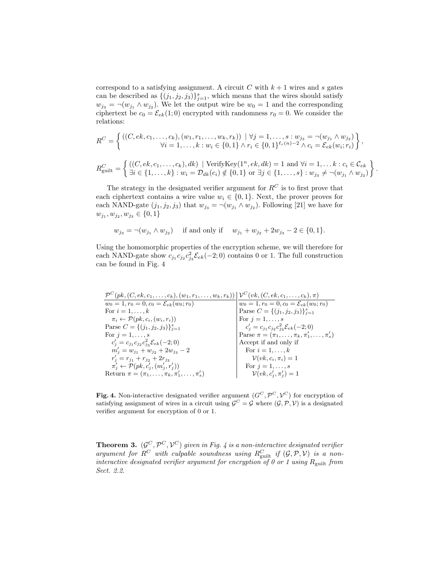correspond to a satisfying assignment. A circuit C with  $k+1$  wires and s gates can be described as  $\{(j_1, j_2, j_3)\}_{j=1}^s$ , which means that the wires should satisfy  $w_{j_3} = \neg(w_{j_1} \wedge w_{j_2})$ . We let the output wire be  $w_0 = 1$  and the corresponding ciphertext be  $c_0 = \mathcal{E}_{ek}(1; 0)$  encrypted with randomness  $r_0 = 0$ . We consider the relations:

$$
R^{C} = \left\{ \begin{matrix} ((C, ek, c_1, \ldots, c_k), (w_1, r_1, \ldots, w_k, r_k)) & | \ \forall j = 1, \ldots, s : w_{j_3} = \neg(w_{j_1} \land w_{j_2}) \\ \forall i = 1, \ldots, k : w_i \in \{0, 1\} \land r_i \in \{0, 1\}^{\ell_r(n)-2} \land c_i = \mathcal{E}_{ek}(w_i; r_i) \end{matrix} \right\},
$$

$$
R_{\text{guilt}}^C = \left\{ \begin{matrix} ((C, ek, c_1, \ldots, c_k), dk) \mid \text{VerifyKey}(1^n, ek, dk) = 1 \text{ and } \forall i = 1, \ldots k : c_i \in \mathcal{C}_{ek} \\ \exists i \in \{1, \ldots, k\} : w_i = \mathcal{D}_{dk}(c_i) \notin \{0, 1\} \text{ or } \exists j \in \{1, \ldots, s\} : w_{j_3} \neq \neg(w_{j_1} \wedge w_{j_2}) \end{matrix} \right\}.
$$

The strategy in the designated verifier argument for  $R^C$  is to first prove that each ciphertext contains a wire value  $w_i \in \{0, 1\}$ . Next, the prover proves for each NAND-gate  $(j_1, j_2, j_3)$  that  $w_{j_3} = \neg(w_{j_1} \wedge w_{j_2})$ . Following [21] we have for  $w_{j_1}, w_{j_2}, w_{j_3} \in \{0, 1\}$ 

$$
w_{j_3} = \neg(w_{j_1} \wedge w_{j_2})
$$
 if and only if  $w_{j_1} + w_{j_2} + 2w_{j_3} - 2 \in \{0, 1\}.$ 

Using the homomorphic properties of the encryption scheme, we will therefore for each NAND-gate show  $c_{j_1}c_{j_2}c_{j_3}^2 \mathcal{E}_{ek}(-2;0)$  contains 0 or 1. The full construction can be found in Fig. 4

| $\mathcal{P}^{C}(pk, (C, ek, c_1, \ldots, c_k), (w_1, r_1, \ldots, w_k, r_k))   \mathcal{V}^{C}(vk, (C, ek, c_1, \ldots, c_k), \pi)$ |                                                              |
|--------------------------------------------------------------------------------------------------------------------------------------|--------------------------------------------------------------|
| $w_0 = 1, r_0 = 0, c_0 = \mathcal{E}_{ek}(w_0; r_0)$                                                                                 | $w_0 = 1, r_0 = 0, c_0 = \mathcal{E}_{ek}(w_0; r_0)$         |
| For $i=1,\ldots,k$                                                                                                                   | Parse $C = \{(j_1, j_2, j_3)\}_{j=1}^s$                      |
| $\pi_i \leftarrow \mathcal{P}(pk, c_i, (w_i, r_i))$                                                                                  | For $j=1,\ldots,s$                                           |
| Parse $C = \{(j_1, j_2, j_3)\}_{j=1}^s$                                                                                              | $c'_i = c_{j_1} c_{j_2} c_{j_3}^2 \mathcal{E}_{ek}(-2,0)$    |
| For $j=1,\ldots,s$                                                                                                                   | Parse $\pi = (\pi_1, \ldots, \pi_k, \pi'_1, \ldots, \pi'_s)$ |
| $c'_i = c_{j_1} c_{j_2} c_{j_3}^2 \mathcal{E}_{ek}(-2,0)$                                                                            | Accept if and only if                                        |
| $m'_i = w_{j_1} + w_{j_2} + 2w_{j_3} - 2$                                                                                            | For $i=1,\ldots,k$                                           |
| $r'_{i} = r_{j_1} + r_{j_2} + 2r_{j_3}$                                                                                              | $\mathcal{V}(vk, c_i, \pi_i) = 1$                            |
| $\pi'_i \leftarrow \mathcal{P}(pk, c'_i, (m'_i, r'_i))$                                                                              | For $j=1,\ldots,s$                                           |
| Return $\pi = (\pi_1, \ldots, \pi_k, \pi'_1, \ldots, \pi'_s)$                                                                        | $\mathcal{V}(vk, c'_i, \pi'_i) = 1$                          |

**Fig. 4.** Non-interactive designated verifier argument  $(G^C, \mathcal{P}^C, \mathcal{V}^C)$  for encryption of satisfying assignment of wires in a circuit using  $\mathcal{G}^C = \mathcal{G}$  where  $(\mathcal{G}, \mathcal{P}, \mathcal{V})$  is a designated verifier argument for encryption of 0 or 1.

**Theorem 3.**  $(\mathcal{G}^C, \mathcal{P}^C, \mathcal{V}^C)$  given in Fig. 4 is a non-interactive designated verifier argument for  $R^C$  with culpable soundness using  $R_{\text{gulit}}^C$  if  $(\mathcal{G}, \mathcal{P}, \mathcal{V})$  is a noninteractive designated verifier argument for encryption of 0 or 1 using  $R_{\text{guilt}}$  from Sect. 2.2.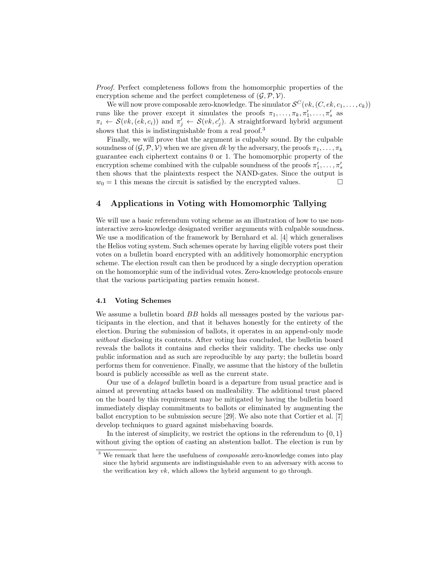Proof. Perfect completeness follows from the homomorphic properties of the encryption scheme and the perfect completeness of  $(\mathcal{G}, \mathcal{P}, \mathcal{V})$ .

We will now prove composable zero-knowledge. The simulator  $\mathcal{S}^C(vk,(C,ek,c_1,\ldots,c_k))$ runs like the prover except it simulates the proofs  $\pi_1, \ldots, \pi_k, \pi'_1, \ldots, \pi'_s$  as  $\pi_i \leftarrow \mathcal{S}(vk, (ek, c_i))$  and  $\pi'_j \leftarrow \mathcal{S}(vk, c'_j)$ . A straightforward hybrid argument shows that this is indistinguishable from a real proof.<sup>3</sup>

Finally, we will prove that the argument is culpably sound. By the culpable soundness of  $(\mathcal{G}, \mathcal{P}, \mathcal{V})$  when we are given dk by the adversary, the proofs  $\pi_1, \ldots, \pi_k$ guarantee each ciphertext contains 0 or 1. The homomorphic property of the encryption scheme combined with the culpable soundness of the proofs  $\pi'_1, \ldots, \pi'_s$ then shows that the plaintexts respect the NAND-gates. Since the output is  $w_0 = 1$  this means the circuit is satisfied by the encrypted values.

### 4 Applications in Voting with Homomorphic Tallying

We will use a basic referendum voting scheme as an illustration of how to use noninteractive zero-knowledge designated verifier arguments with culpable soundness. We use a modification of the framework by Bernhard et al. [4] which generalises the Helios voting system. Such schemes operate by having eligible voters post their votes on a bulletin board encrypted with an additively homomorphic encryption scheme. The election result can then be produced by a single decryption operation on the homomorphic sum of the individual votes. Zero-knowledge protocols ensure that the various participating parties remain honest.

#### 4.1 Voting Schemes

We assume a bulletin board BB holds all messages posted by the various participants in the election, and that it behaves honestly for the entirety of the election. During the submission of ballots, it operates in an append-only mode without disclosing its contents. After voting has concluded, the bulletin board reveals the ballots it contains and checks their validity. The checks use only public information and as such are reproducible by any party; the bulletin board performs them for convenience. Finally, we assume that the history of the bulletin board is publicly accessible as well as the current state.

Our use of a delayed bulletin board is a departure from usual practice and is aimed at preventing attacks based on malleability. The additional trust placed on the board by this requirement may be mitigated by having the bulletin board immediately display commitments to ballots or eliminated by augmenting the ballot encryption to be submission secure [29]. We also note that Cortier et al. [7] develop techniques to guard against misbehaving boards.

In the interest of simplicity, we restrict the options in the referendum to  $\{0, 1\}$ without giving the option of casting an abstention ballot. The election is run by

 $3$  We remark that here the usefulness of *composable* zero-knowledge comes into play since the hybrid arguments are indistinguishable even to an adversary with access to the verification key  $vk$ , which allows the hybrid argument to go through.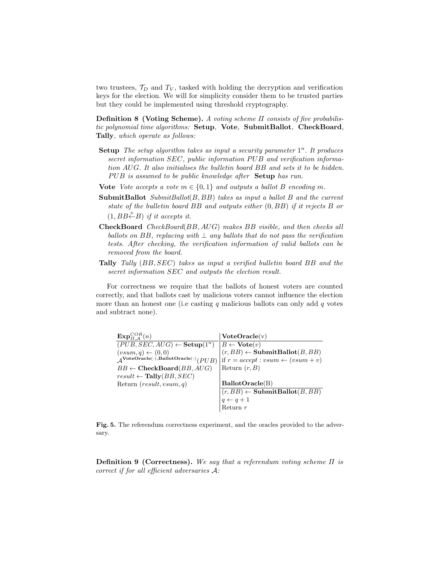two trustees,  $\mathcal{T}_D$  and  $T_V$ , tasked with holding the decryption and verification keys for the election. We will for simplicity consider them to be trusted parties but they could be implemented using threshold cryptography.

**Definition 8 (Voting Scheme).** A voting scheme  $\Pi$  consists of five probabilistic polynomial time algorithms: Setup, Vote, SubmitBallot, CheckBoard, Tally, which operate as follows:

- Setup The setup algorithm takes as input a security parameter  $1<sup>n</sup>$ . It produces secret information  $SEC, public information PUB and verification information$ tion AUG. It also initialises the bulletin board BB and sets it to be hidden. PUB is assumed to be public knowledge after Setup has run.
- Vote Vote accepts a vote  $m \in \{0, 1\}$  and outputs a ballot B encoding m.
- SubmitBallot  $\mathit{SubmitBallot}(B, BB)$  takes as input a ballot B and the current state of the bulletin board BB and outputs either (0, BB) if it rejects B or  $(1, BB\overset{+}{\leftarrow}B)$  if it accepts it.
- CheckBoard CheckBoard(BB, AUG) makes BB visible, and then checks all ballots on BB, replacing with  $\perp$  any ballots that do not pass the verification tests. After checking, the verification information of valid ballots can be removed from the board.
- Tally Tally (BB, SEC) takes as input a verified bulletin board BB and the secret information SEC and outputs the election result.

For correctness we require that the ballots of honest voters are counted correctly, and that ballots cast by malicious voters cannot influence the election more than an honest one (i.e casting  $q$  malicious ballots can only add  $q$  votes and subtract none).

| $\mathbf{Exp}_{H}^{COR}(n)$                                                         | $\textbf{VoteOracle}(v)$                                                                     |
|-------------------------------------------------------------------------------------|----------------------------------------------------------------------------------------------|
| $(PUB, SEC, AUG) \leftarrow \textbf{Setup}(1^n) \ \  B \leftarrow \textbf{Vote}(v)$ |                                                                                              |
| $(vsum, q) \leftarrow (0, 0)$                                                       |                                                                                              |
| $\mathcal{A}^{\mathbf{VoteOracle}(\cdot),\mathbf{BallotOracle}(\cdot)}(PUB)$        | $(r, BB) \leftarrow$ Submit Ballot $(B, BB)$<br>if $r = accept : vsum \leftarrow (vsum + v)$ |
| $BB \leftarrow$ CheckBoard( <i>BB</i> , <i>AUG</i> )                                | Return $(r, B)$                                                                              |
| $result \leftarrow \text{Tally}(BB,SEC)$                                            |                                                                                              |
| Return $(result, vsum, q)$                                                          | BallotOracle(B)                                                                              |
|                                                                                     | $(r, BB) \leftarrow$ SubmitBallot $(B, BB)$                                                  |
|                                                                                     | $q \leftarrow q + 1$                                                                         |
|                                                                                     | Return $r$                                                                                   |

Fig. 5. The referendum correctness experiment, and the oracles provided to the adversary.

**Definition 9 (Correctness).** We say that a referendum voting scheme  $\Pi$  is correct if for all efficient adversaries A: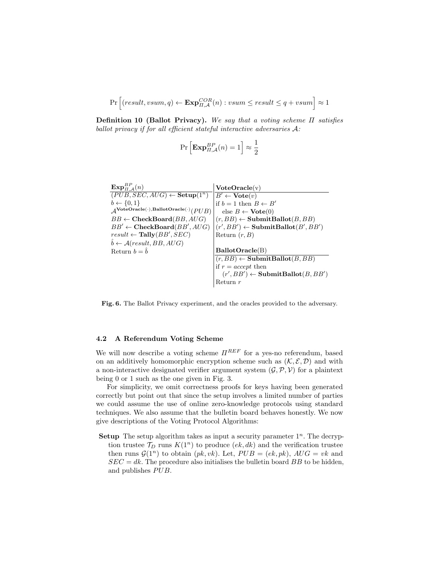$$
\Pr\Big[(result, vsum, q) \leftarrow \mathbf{Exp}_{H,\mathcal{A}}^{COR}(n): vsum \leq result \leq q + vsum\Big] \approx 1
$$

Definition 10 (Ballot Privacy). We say that a voting scheme Π satisfies ballot privacy if for all efficient stateful interactive adversaries A:

$$
\Pr\left[\mathbf{Exp}_{H,\mathcal{A}}^{BP}(n) = 1\right] \approx \frac{1}{2}
$$

| $\mathbf{Exp}_{H}^{BP}(n)$                                                | $\textbf{VoteOracle}(v)$                              |
|---------------------------------------------------------------------------|-------------------------------------------------------|
| $(PUB, SEC, AUG) \leftarrow \textbf{Setup}(1^n)$                          | $B' \leftarrow \textbf{Vote}(v)$                      |
| $b \leftarrow \{0, 1\}$                                                   | if $b = 1$ then $B \leftarrow B'$                     |
| $\mathcal{A}^{\text{VoteOracle}(\cdot), \text{BallotOracle}(\cdot)}(PUB)$ | else $B \leftarrow \textbf{Vote}(0)$                  |
| $BB \leftarrow$ CheckBoard( <i>BB</i> , <i>AUG</i> )                      | $(r, BB) \leftarrow$ Submit Ballot $(B, BB)$          |
| $BB' \leftarrow$ CheckBoard $(BB', AUG)$                                  | $ (r',BB') \leftarrow \textbf{SubmitBallot}(B',BB')$  |
| $result \leftarrow \text{Tally}(BB',SEC)$                                 | Return $(r, B)$                                       |
| $\hat{b} \leftarrow \mathcal{A}(result, BB, AUG)$                         |                                                       |
| Return $b = b$                                                            | BallotOracle(B)                                       |
|                                                                           | $(r, BB) \leftarrow$ SubmitBallot $(B, BB)$           |
|                                                                           | if $r = accept$ then                                  |
|                                                                           | $(r', BB') \leftarrow$ <b>SubmitBallot</b> $(B, BB')$ |
|                                                                           | Return $r$                                            |

Fig. 6. The Ballot Privacy experiment, and the oracles provided to the adversary.

#### 4.2 A Referendum Voting Scheme

We will now describe a voting scheme  $\Pi^{REF}$  for a yes-no referendum, based on an additively homomorphic encryption scheme such as  $(\mathcal{K}, \mathcal{E}, \mathcal{D})$  and with a non-interactive designated verifier argument system  $(\mathcal{G}, \mathcal{P}, \mathcal{V})$  for a plaintext being 0 or 1 such as the one given in Fig. 3.

For simplicity, we omit correctness proofs for keys having been generated correctly but point out that since the setup involves a limited number of parties we could assume the use of online zero-knowledge protocols using standard techniques. We also assume that the bulletin board behaves honestly. We now give descriptions of the Voting Protocol Algorithms:

**Setup** The setup algorithm takes as input a security parameter  $1<sup>n</sup>$ . The decryption trustee  $\mathcal{T}_D$  runs  $K(1^n)$  to produce  $(ek, dk)$  and the verification trustee then runs  $\mathcal{G}(1^n)$  to obtain  $(pk, vk)$ . Let,  $PUB = (ek, pk)$ ,  $AUG = vk$  and  $SEC = dk$ . The procedure also initialises the bulletin board BB to be hidden, and publishes  $PUB$ .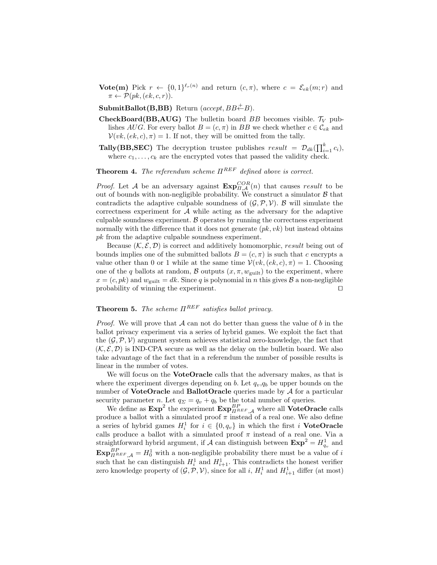- **Vote(m)** Pick  $r \leftarrow \{0,1\}^{\ell_r(n)}$  and return  $(c, \pi)$ , where  $c = \mathcal{E}_{ek}(m; r)$  and  $\pi \leftarrow \mathcal{P}(pk, (ek, c, r)).$
- **SubmitBallot(B,BB)** Return (accept,  $BB \stackrel{+}{\leftarrow} B$ ).
- **CheckBoard(BB,AUG)** The bulletin board BB becomes visible.  $\mathcal{T}_V$  publishes AUG. For every ballot  $B = (c, \pi)$  in BB we check whether  $c \in \mathcal{C}_{ek}$  and  $V(vk,(ek, c), \pi) = 1$ . If not, they will be omitted from the tally.
- **Tally(BB,SEC)** The decryption trustee publishes  $result = D_{dk}(\prod_{i=1}^{k} c_i)$ , where  $c_1, \ldots, c_k$  are the encrypted votes that passed the validity check.

# **Theorem 4.** The referendum scheme  $\Pi^{REF}$  defined above is correct.

*Proof.* Let A be an adversary against  $\mathbf{Exp}_{\Pi,\mathcal{A}}^{COR}(n)$  that causes result to be out of bounds with non-negligible probability. We construct a simulator  $\beta$  that contradicts the adaptive culpable soundness of  $(\mathcal{G}, \mathcal{P}, \mathcal{V})$ . B will simulate the correctness experiment for  $A$  while acting as the adversary for the adaptive culpable soundness experiment.  $\beta$  operates by running the correctness experiment normally with the difference that it does not generate  $(pk, vk)$  but instead obtains pk from the adaptive culpable soundness experiment.

Because  $(\mathcal{K}, \mathcal{E}, \mathcal{D})$  is correct and additively homomorphic, result being out of bounds implies one of the submitted ballots  $B = (c, \pi)$  is such that c encrypts a value other than 0 or 1 while at the same time  $V(vk,(ek, c), \pi) = 1$ . Choosing one of the q ballots at random, B outputs  $(x, \pi, w_{\text{guilt}})$  to the experiment, where  $x = (c, pk)$  and  $w_{\text{guilt}} = dk$ . Since q is polynomial in n this gives  $\beta$  a non-negligible probability of winning the experiment.  $\Box$ 

# **Theorem 5.** The scheme  $\Pi^{REF}$  satisfies ballot privacy.

*Proof.* We will prove that  $A$  can not do better than guess the value of b in the ballot privacy experiment via a series of hybrid games. We exploit the fact that the  $(\mathcal{G}, \mathcal{P}, \mathcal{V})$  argument system achieves statistical zero-knowledge, the fact that  $(\mathcal{K}, \mathcal{E}, \mathcal{D})$  is IND-CPA secure as well as the delay on the bulletin board. We also take advantage of the fact that in a referendum the number of possible results is linear in the number of votes.

We will focus on the **VoteOracle** calls that the adversary makes, as that is where the experiment diverges depending on b. Let  $q_v, q_b$  be upper bounds on the number of **VoteOracle** and **BallotOracle** queries made by  $A$  for a particular security parameter n. Let  $q_{\Sigma} = q_v + q_b$  be the total number of queries.

We define as  $\text{Exp}^2$  the experiment  $\text{Exp}_{H^{REF},\mathcal{A}}^{BP}$  where all  $\text{VoteOracle}$  calls produce a ballot with a simulated proof  $\pi$  instead of a real one. We also define a series of hybrid games  $H_i^1$  for  $i \in \{0, q_v\}$  in which the first i **VoteOracle** calls produce a ballot with a simulated proof  $\pi$  instead of a real one. Via a straightforward hybrid argument, if A can distinguish between  $\text{Exp}^2 = H_{q_v}^1$  and  $\mathbf{Exp}_{H^{REF},\mathcal{A}}^{BP} = H_0^1$  with a non-negligible probability there must be a value of i such that he can distinguish  $H_i^1$  and  $H_{i+1}^1$ . This contradicts the honest verifier zero knowledge property of  $(G, \mathcal{P}, \mathcal{V})$ , since for all i,  $H_i^1$  and  $H_{i+1}^1$  differ (at most)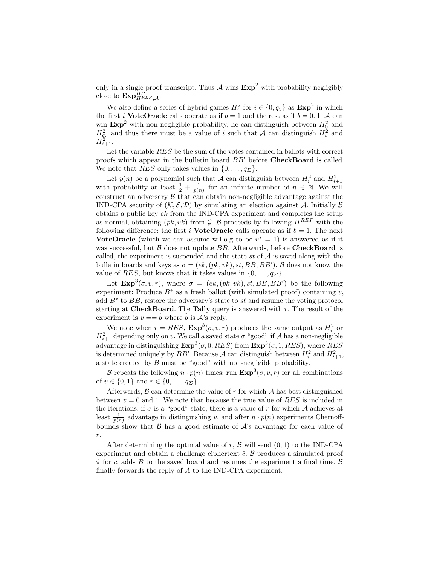only in a single proof transcript. Thus  $A$  wins  $Exp<sup>2</sup>$  with probability negligibly close to  $\mathrm{Exp}_{\Pi^{REF},\mathcal{A}}^{BP}$ .

We also define a series of hybrid games  $H_i^2$  for  $i \in \{0, q_v\}$  as  $\text{Exp}^2$  in which the first *i* VoteOracle calls operate as if  $b = 1$  and the rest as if  $b = 0$ . If A can win  $\text{Exp}^2$  with non-negligible probability, he can distinguish between  $H_0^2$  and  $H_{q_v}^2$  and thus there must be a value of i such that A can distinguish  $H_i^2$  and  $H^2_{i+1}$ .

Let the variable RES be the sum of the votes contained in ballots with correct proofs which appear in the bulletin board  $BB'$  before **CheckBoard** is called. We note that RES only takes values in  $\{0, \ldots, q_{\Sigma}\}.$ 

Let  $p(n)$  be a polynomial such that A can distinguish between  $H_i^2$  and  $H_{i+1}^2$  with probability at least  $\frac{1}{2} + \frac{1}{p(n)}$  for an infinite number of  $n \in \mathbb{N}$ . We will construct an adversary  $\beta$  that can obtain non-negligible advantage against the IND-CPA security of  $(K, \mathcal{E}, \mathcal{D})$  by simulating an election against A. Initially B obtains a public key  $ek$  from the IND-CPA experiment and completes the setup as normal, obtaining  $(pk, vk)$  from G. B proceeds by following  $\Pi^{REF}$  with the following difference: the first i **VoteOracle** calls operate as if  $b = 1$ . The next **VoteOracle** (which we can assume w.l.o.g to be  $v^* = 1$ ) is answered as if it was successful, but  $\beta$  does not update  $BB$ . Afterwards, before **CheckBoard** is called, the experiment is suspended and the state st of  $A$  is saved along with the bullet in boards and keys as  $\sigma = (ek, (pk, vk), st, BB, BB')$ . B does not know the value of RES, but knows that it takes values in  $\{0, \ldots, q_{\Sigma}\}.$ 

Let  $\text{Exp}^{3}(\sigma, v, r)$ , where  $\sigma = (ek, (pk, vk), st, BB, BB')$  be the following experiment: Produce  $B^*$  as a fresh ballot (with simulated proof) containing v, add  $B^*$  to  $BB$ , restore the adversary's state to st and resume the voting protocol starting at **CheckBoard**. The **Tally** query is answered with  $r$ . The result of the experiment is  $v == \hat{b}$  where  $\hat{b}$  is  $\mathcal{A}$ 's reply.

We note when  $r = RES$ ,  $\mathbf{Exp}^3(\sigma, v, r)$  produces the same output as  $H_i^2$  or  $H_{i+1}^2$  depending only on v. We call a saved state  $\sigma$  "good" if A has a non-negligible advantage in distinguishing  $\text{Exp}^3(\sigma, 0, RES)$  from  $\text{Exp}^3(\sigma, 1,RES)$ , where  $RES$ is determined uniquely by  $BB'$ . Because A can distinguish between  $H_i^2$  and  $H_{i+1}^2$ , a state created by  $\beta$  must be "good" with non-negligible probability.

B repeats the following  $n \cdot p(n)$  times: run  $\text{Exp}^{3}(\sigma, v, r)$  for all combinations of  $v \in \{0, 1\}$  and  $r \in \{0, ..., q_{\Sigma}\}.$ 

Afterwards,  $\beta$  can determine the value of r for which  $\mathcal A$  has best distinguished between  $v = 0$  and 1. We note that because the true value of  $RES$  is included in the iterations, if  $\sigma$  is a "good" state, there is a value of r for which A achieves at least  $\frac{1}{p(n)}$  advantage in distinguishing v, and after  $n \cdot p(n)$  experiments Chernoffbounds show that  $\beta$  has a good estimate of  $\mathcal{A}$ 's advantage for each value of r.

After determining the optimal value of r,  $\beta$  will send  $(0, 1)$  to the IND-CPA experiment and obtain a challenge ciphertext  $\hat{c}$ . B produces a simulated proof  $\hat{\pi}$  for c, adds  $\hat{B}$  to the saved board and resumes the experiment a final time.  $\hat{B}$ finally forwards the reply of A to the IND-CPA experiment.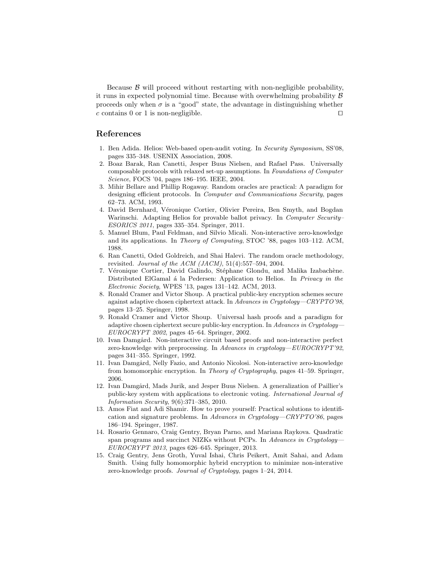Because  $\beta$  will proceed without restarting with non-negligible probability, it runs in expected polynomial time. Because with overwhelming probability  $\beta$ proceeds only when  $\sigma$  is a "good" state, the advantage in distinguishing whether c contains 0 or 1 is non-negligible.  $\square$ 

### References

- 1. Ben Adida. Helios: Web-based open-audit voting. In Security Symposium, SS'08, pages 335–348. USENIX Association, 2008.
- 2. Boaz Barak, Ran Canetti, Jesper Buus Nielsen, and Rafael Pass. Universally composable protocols with relaxed set-up assumptions. In Foundations of Computer Science, FOCS '04, pages 186–195. IEEE, 2004.
- 3. Mihir Bellare and Phillip Rogaway. Random oracles are practical: A paradigm for designing efficient protocols. In Computer and Communications Security, pages 62–73. ACM, 1993.
- 4. David Bernhard, Véronique Cortier, Olivier Pereira, Ben Smyth, and Bogdan Warinschi. Adapting Helios for provable ballot privacy. In *Computer Security–* ESORICS 2011, pages 335–354. Springer, 2011.
- 5. Manuel Blum, Paul Feldman, and Silvio Micali. Non-interactive zero-knowledge and its applications. In Theory of Computing, STOC '88, pages 103–112. ACM, 1988.
- 6. Ran Canetti, Oded Goldreich, and Shai Halevi. The random oracle methodology, revisited. Journal of the ACM (JACM),  $51(4):557-594$ ,  $2004$ .
- 7. Véronique Cortier, David Galindo, Stéphane Glondu, and Malika Izabachène. Distributed ElGamal á la Pedersen: Application to Helios. In Privacy in the Electronic Society, WPES '13, pages 131–142. ACM, 2013.
- 8. Ronald Cramer and Victor Shoup. A practical public-key encryption schemes secure against adaptive chosen ciphertext attack. In Advances in Cryptology—CRYPTO'98, pages 13–25. Springer, 1998.
- 9. Ronald Cramer and Victor Shoup. Universal hash proofs and a paradigm for adaptive chosen ciphertext secure public-key encryption. In Advances in Cryptology— EUROCRYPT 2002, pages 45–64. Springer, 2002.
- 10. Ivan Damgård. Non-interactive circuit based proofs and non-interactive perfect zero-knowledge with preprocessing. In Advances in cryptology—EUROCRYPT'92, pages 341–355. Springer, 1992.
- 11. Ivan Damgård, Nelly Fazio, and Antonio Nicolosi. Non-interactive zero-knowledge from homomorphic encryption. In Theory of Cryptography, pages 41–59. Springer, 2006.
- 12. Ivan Damgård, Mads Jurik, and Jesper Buus Nielsen. A generalization of Paillier's public-key system with applications to electronic voting. International Journal of Information Security, 9(6):371–385, 2010.
- 13. Amos Fiat and Adi Shamir. How to prove yourself: Practical solutions to identification and signature problems. In Advances in Cryptology—CRYPTO'86, pages 186–194. Springer, 1987.
- 14. Rosario Gennaro, Craig Gentry, Bryan Parno, and Mariana Raykova. Quadratic span programs and succinct NIZKs without PCPs. In Advances in Cryptology-EUROCRYPT 2013, pages 626–645. Springer, 2013.
- 15. Craig Gentry, Jens Groth, Yuval Ishai, Chris Peikert, Amit Sahai, and Adam Smith. Using fully homomorphic hybrid encryption to minimize non-interative zero-knowledge proofs. Journal of Cryptology, pages 1–24, 2014.